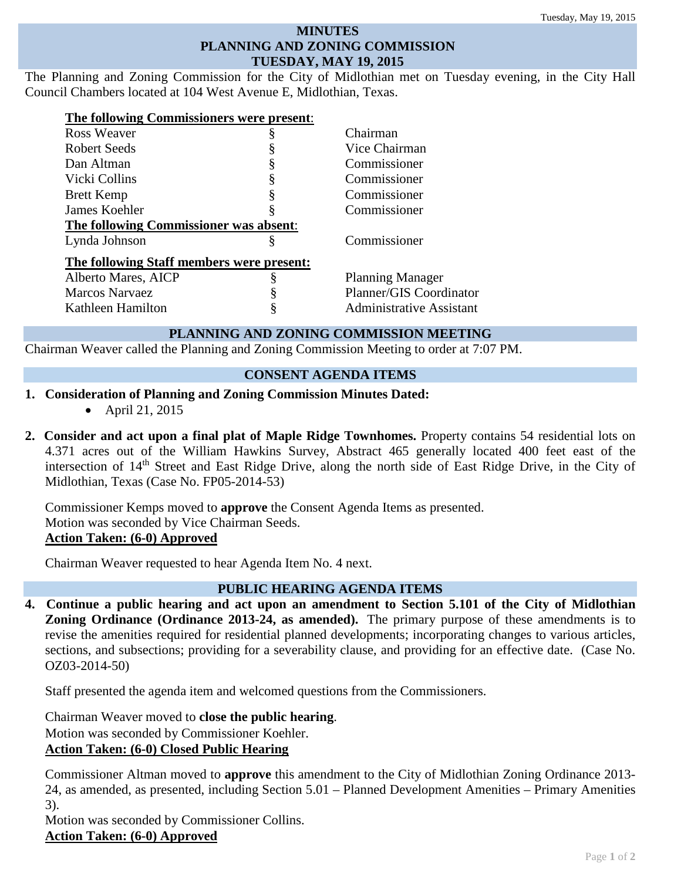#### **MINUTES PLANNING AND ZONING COMMISSION TUESDAY, MAY 19, 2015**

The Planning and Zoning Commission for the City of Midlothian met on Tuesday evening, in the City Hall Council Chambers located at 104 West Avenue E, Midlothian, Texas.

| The following Commissioners were present: |    |                          |
|-------------------------------------------|----|--------------------------|
| <b>Ross Weaver</b>                        | ş  | Chairman                 |
| Robert Seeds                              | \$ | Vice Chairman            |
| Dan Altman                                | Š  | Commissioner             |
| Vicki Collins                             | §  | Commissioner             |
| <b>Brett Kemp</b>                         | ş  | Commissioner             |
| James Koehler                             |    | Commissioner             |
| The following Commissioner was absent:    |    |                          |
| Lynda Johnson                             | §  | Commissioner             |
| The following Staff members were present: |    |                          |
| Alberto Mares, AICP                       | §  | <b>Planning Manager</b>  |
| <b>Marcos Narvaez</b>                     |    | Planner/GIS Coordinator  |
| Kathleen Hamilton                         |    | Administrative Assistant |

# **PLANNING AND ZONING COMMISSION MEETING**

Chairman Weaver called the Planning and Zoning Commission Meeting to order at 7:07 PM.

# **CONSENT AGENDA ITEMS**

- **1. Consideration of Planning and Zoning Commission Minutes Dated:** 
	- April 21, 2015
- **2. Consider and act upon a final plat of Maple Ridge Townhomes.** Property contains 54 residential lots on 4.371 acres out of the William Hawkins Survey, Abstract 465 generally located 400 feet east of the intersection of 14<sup>th</sup> Street and East Ridge Drive, along the north side of East Ridge Drive, in the City of Midlothian, Texas (Case No. FP05-2014-53)

Commissioner Kemps moved to **approve** the Consent Agenda Items as presented. Motion was seconded by Vice Chairman Seeds. **Action Taken: (6-0) Approved**

Chairman Weaver requested to hear Agenda Item No. 4 next.

# **PUBLIC HEARING AGENDA ITEMS**

**4. Continue a public hearing and act upon an amendment to Section 5.101 of the City of Midlothian Zoning Ordinance (Ordinance 2013-24, as amended).** The primary purpose of these amendments is to revise the amenities required for residential planned developments; incorporating changes to various articles, sections, and subsections; providing for a severability clause, and providing for an effective date. (Case No. OZ03-2014-50)

Staff presented the agenda item and welcomed questions from the Commissioners.

Chairman Weaver moved to **close the public hearing**.

Motion was seconded by Commissioner Koehler.

### **Action Taken: (6-0) Closed Public Hearing**

Commissioner Altman moved to **approve** this amendment to the City of Midlothian Zoning Ordinance 2013- 24, as amended, as presented, including Section 5.01 – Planned Development Amenities – Primary Amenities 3).

Motion was seconded by Commissioner Collins.

# **Action Taken: (6-0) Approved**